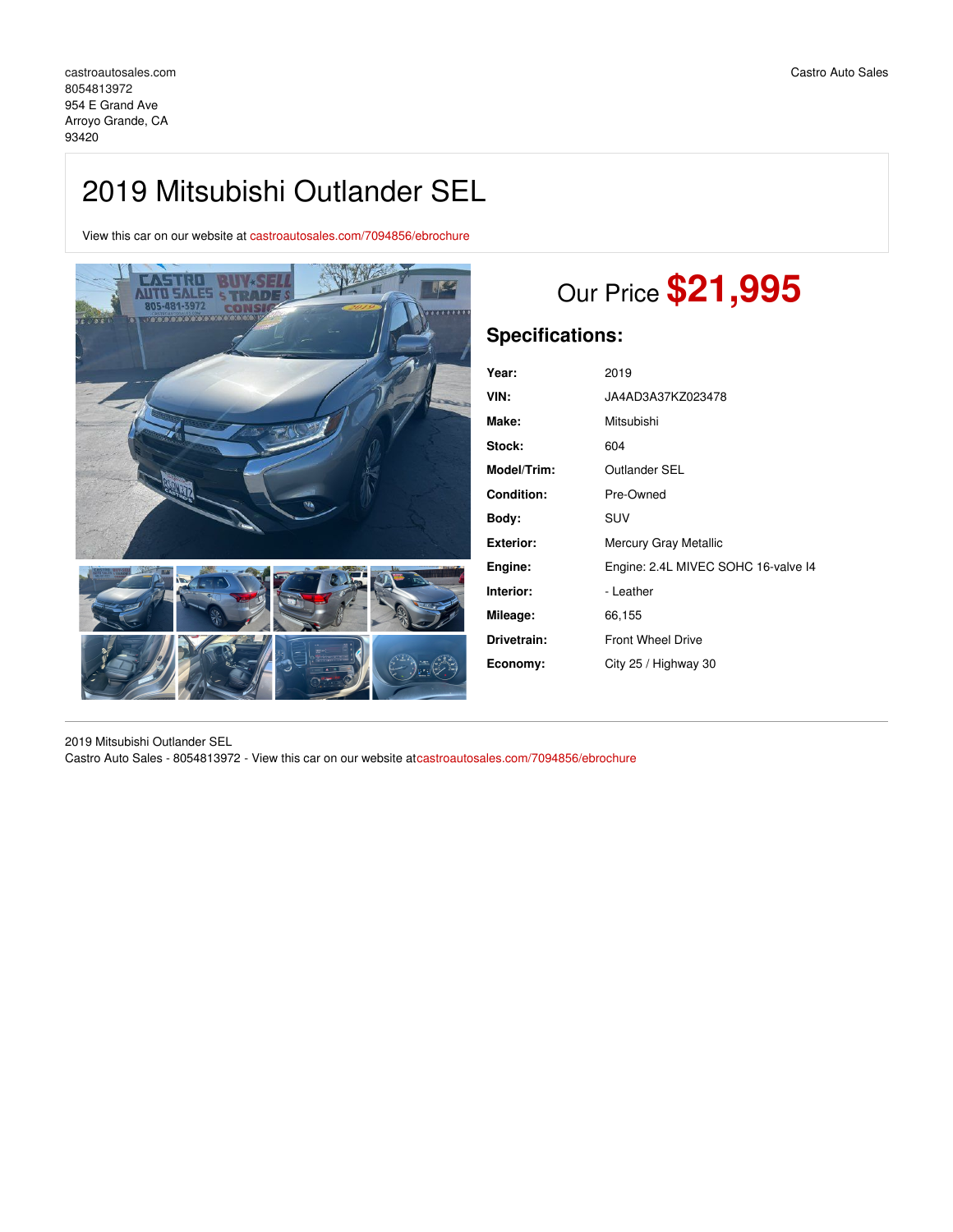## 2019 Mitsubishi Outlander SEL

View this car on our website at [castroautosales.com/7094856/ebrochure](https://castroautosales.com/vehicle/7094856/2019-mitsubishi-outlander-sel-arroyo-grande-ca-93420/7094856/ebrochure)



# Our Price **\$21,995**

## **Specifications:**

| Year:             | 2019                                |
|-------------------|-------------------------------------|
| VIN:              | JA4AD3A37KZ023478                   |
| Make:             | Mitsubishi                          |
| Stock:            | 604                                 |
| Model/Trim:       | Outlander SEL                       |
| <b>Condition:</b> | Pre-Owned                           |
| Body:             | <b>SUV</b>                          |
| Exterior:         | Mercury Gray Metallic               |
| Engine:           | Engine: 2.4L MIVEC SOHC 16-valve I4 |
| Interior:         | - Leather                           |
| Mileage:          | 66,155                              |
| Drivetrain:       | <b>Front Wheel Drive</b>            |
| Economy:          | City 25 / Highway 30                |
|                   |                                     |

2019 Mitsubishi Outlander SEL Castro Auto Sales - 8054813972 - View this car on our website at[castroautosales.com/7094856/ebrochure](https://castroautosales.com/vehicle/7094856/2019-mitsubishi-outlander-sel-arroyo-grande-ca-93420/7094856/ebrochure)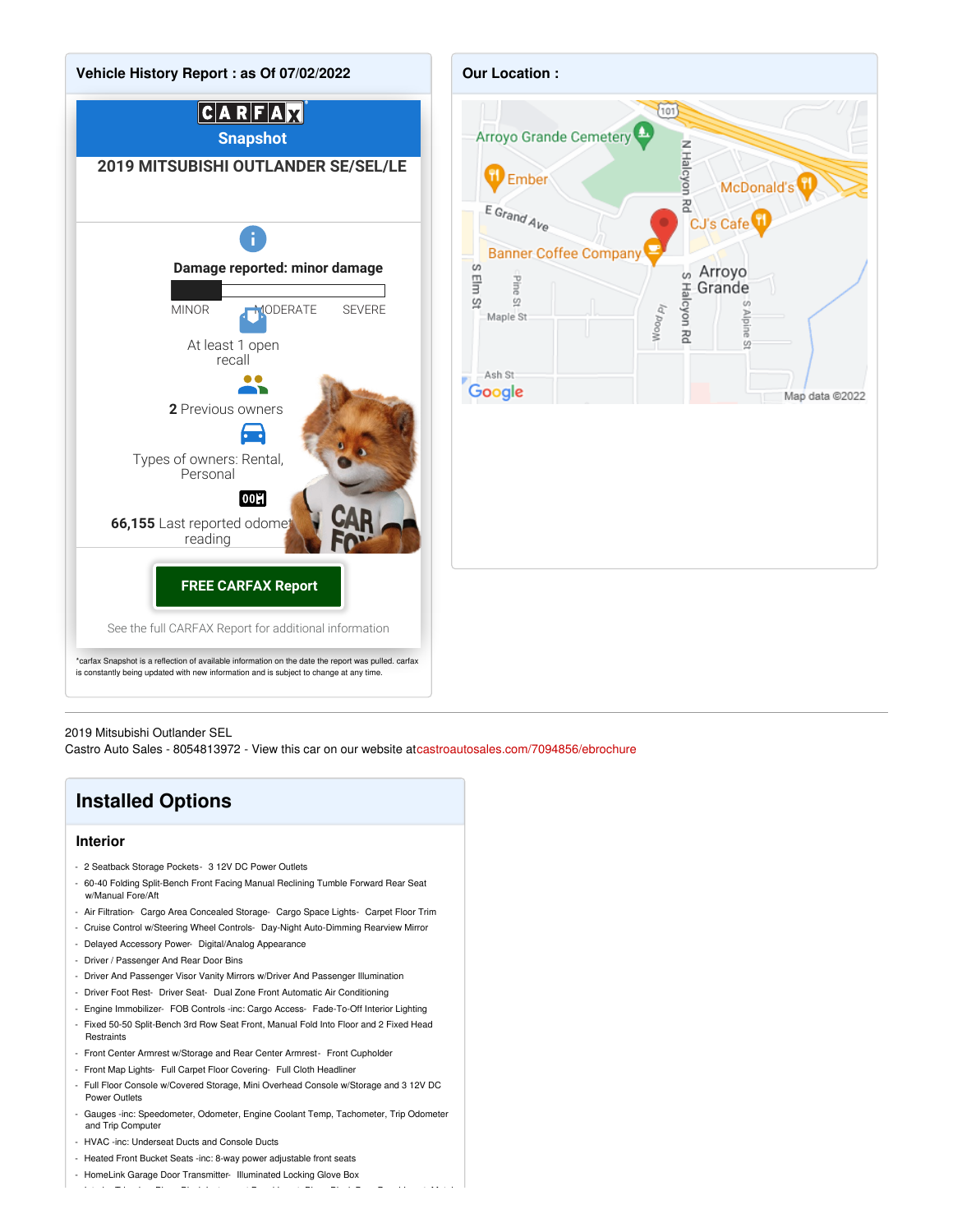



2019 Mitsubishi Outlander SEL

Castro Auto Sales - 8054813972 - View this car on our website at[castroautosales.com/7094856/ebrochure](https://castroautosales.com/vehicle/7094856/2019-mitsubishi-outlander-sel-arroyo-grande-ca-93420/7094856/ebrochure)

### **Installed Options**

#### **Interior**

- 2 Seatback Storage Pockets- 3 12V DC Power Outlets
- 60-40 Folding Split-Bench Front Facing Manual Reclining Tumble Forward Rear Seat w/Manual Fore/Aft
- Air Filtration- Cargo Area Concealed Storage- Cargo Space Lights- Carpet Floor Trim
- Cruise Control w/Steering Wheel Controls- Day-Night Auto-Dimming Rearview Mirror
- Delayed Accessory Power- Digital/Analog Appearance
- Driver / Passenger And Rear Door Bins
- Driver And Passenger Visor Vanity Mirrors w/Driver And Passenger Illumination
- Driver Foot Rest- Driver Seat- Dual Zone Front Automatic Air Conditioning
- Engine Immobilizer- FOB Controls -inc: Cargo Access- Fade-To-Off Interior Lighting
- Fixed 50-50 Split-Bench 3rd Row Seat Front, Manual Fold Into Floor and 2 Fixed Head **Restraints**
- Front Center Armrest w/Storage and Rear Center Armrest- Front Cupholder
- Front Map Lights- Full Carpet Floor Covering- Full Cloth Headliner
- Full Floor Console w/Covered Storage, Mini Overhead Console w/Storage and 3 12V DC Power Outlets
- Gauges -inc: Speedometer, Odometer, Engine Coolant Temp, Tachometer, Trip Odometer and Trip Computer

- Interior Trim -inc: Piano Black Instrument Panel Insert, Piano Black Door Panel Insert, Metal-

- HVAC -inc: Underseat Ducts and Console Ducts
- Heated Front Bucket Seats -inc: 8-way power adjustable front seats
- HomeLink Garage Door Transmitter- Illuminated Locking Glove Box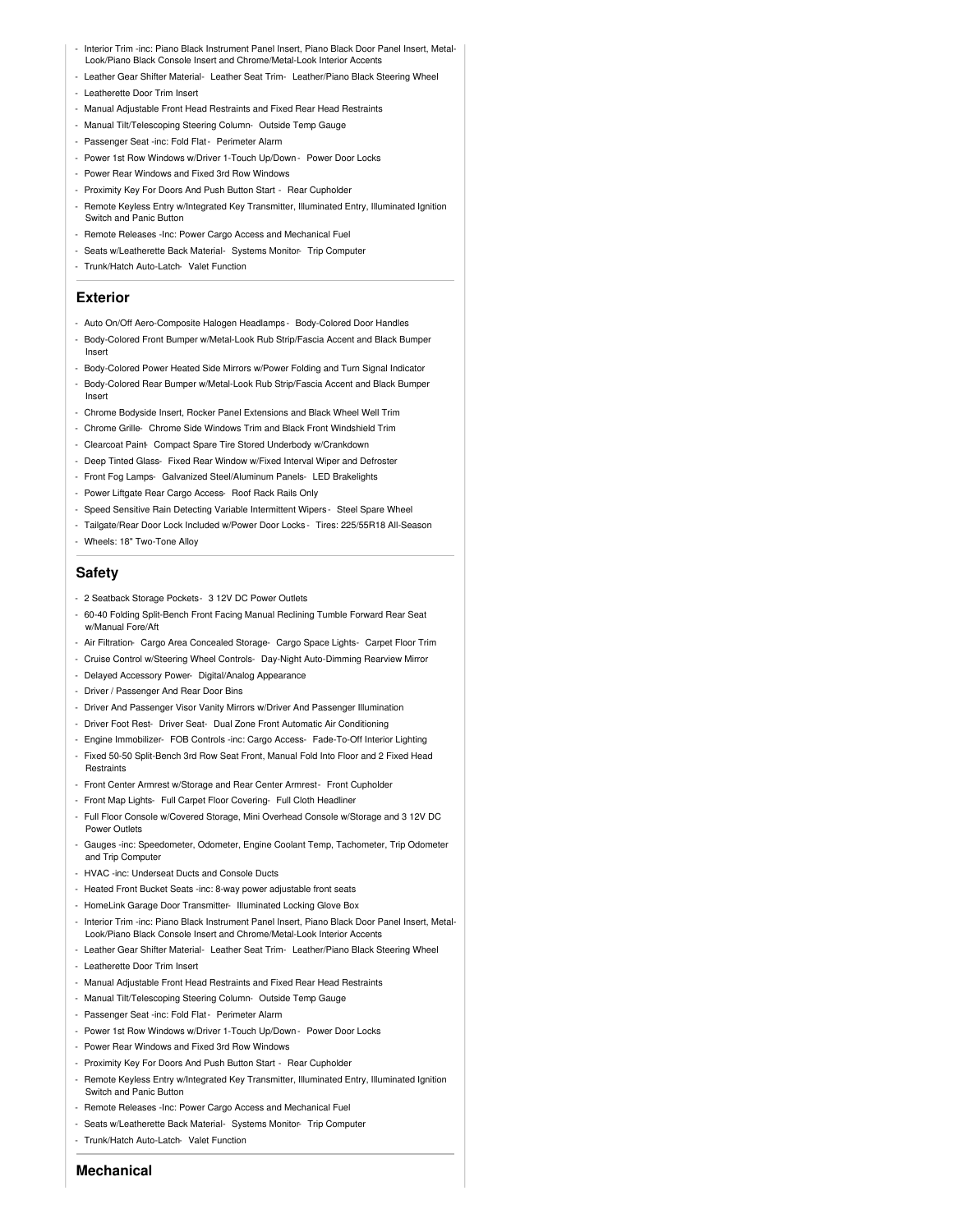- Interior Trim -inc: Piano Black Instrument Panel Insert, Piano Black Door Panel Insert, Metal-Look/Piano Black Console Insert and Chrome/Metal-Look Interior Accents
- Leather Gear Shifter Material- Leather Seat Trim- Leather/Piano Black Steering Wheel
- Leatherette Door Trim Insert
- Manual Adjustable Front Head Restraints and Fixed Rear Head Restraints
- Manual Tilt/Telescoping Steering Column- Outside Temp Gauge
- Passenger Seat -inc: Fold Flat- Perimeter Alarm
- Power 1st Row Windows w/Driver 1-Touch Up/Down Power Door Locks
- Power Rear Windows and Fixed 3rd Row Windows
- Proximity Key For Doors And Push Button Start Rear Cupholder
- Remote Keyless Entry w/Integrated Key Transmitter, Illuminated Entry, Illuminated Ignition Switch and Panic Button
- Remote Releases -Inc: Power Cargo Access and Mechanical Fuel
- Seats w/Leatherette Back Material- Systems Monitor- Trip Computer
- Trunk/Hatch Auto-Latch- Valet Function

#### **Exterior**

- Auto On/Off Aero-Composite Halogen Headlamps Body-Colored Door Handles
- Body-Colored Front Bumper w/Metal-Look Rub Strip/Fascia Accent and Black Bumper Insert
- Body-Colored Power Heated Side Mirrors w/Power Folding and Turn Signal Indicator
- Body-Colored Rear Bumper w/Metal-Look Rub Strip/Fascia Accent and Black Bumper Insert
- Chrome Bodyside Insert, Rocker Panel Extensions and Black Wheel Well Trim
- Chrome Grille- Chrome Side Windows Trim and Black Front Windshield Trim
- Clearcoat Paint- Compact Spare Tire Stored Underbody w/Crankdown
- Deep Tinted Glass- Fixed Rear Window w/Fixed Interval Wiper and Defroster
- Front Fog Lamps- Galvanized Steel/Aluminum Panels- LED Brakelights
- Power Liftgate Rear Cargo Access- Roof Rack Rails Only
- Speed Sensitive Rain Detecting Variable Intermittent Wipers Steel Spare Wheel
- Tailgate/Rear Door Lock Included w/Power Door Locks Tires: 225/55R18 All-Season
- Wheels: 18" Two-Tone Alloy

#### **Safety**

- 2 Seatback Storage Pockets- 3 12V DC Power Outlets
- 60-40 Folding Split-Bench Front Facing Manual Reclining Tumble Forward Rear Seat w/Manual Fore/Aft
- Air Filtration- Cargo Area Concealed Storage- Cargo Space Lights- Carpet Floor Trim
- Cruise Control w/Steering Wheel Controls- Day-Night Auto-Dimming Rearview Mirror
- Delayed Accessory Power- Digital/Analog Appearance
- Driver / Passenger And Rear Door Bins
- Driver And Passenger Visor Vanity Mirrors w/Driver And Passenger Illumination
- Driver Foot Rest- Driver Seat- Dual Zone Front Automatic Air Conditioning
- Engine Immobilizer- FOB Controls -inc: Cargo Access- Fade-To-Off Interior Lighting
- Fixed 50-50 Split-Bench 3rd Row Seat Front, Manual Fold Into Floor and 2 Fixed Head Restraints
- Front Center Armrest w/Storage and Rear Center Armrest- Front Cupholder
- Front Map Lights- Full Carpet Floor Covering- Full Cloth Headliner
- Full Floor Console w/Covered Storage, Mini Overhead Console w/Storage and 3 12V DC Power Outlets
- Gauges -inc: Speedometer, Odometer, Engine Coolant Temp, Tachometer, Trip Odometer and Trip Computer
- HVAC -inc: Underseat Ducts and Console Ducts
- Heated Front Bucket Seats -inc: 8-way power adjustable front seats
- HomeLink Garage Door Transmitter- Illuminated Locking Glove Box
- Interior Trim -inc: Piano Black Instrument Panel Insert, Piano Black Door Panel Insert, Metal-Look/Piano Black Console Insert and Chrome/Metal-Look Interior Accents
- Leather Gear Shifter Material- Leather Seat Trim- Leather/Piano Black Steering Wheel
- Leatherette Door Trim Insert
- Manual Adjustable Front Head Restraints and Fixed Rear Head Restraints
- Manual Tilt/Telescoping Steering Column- Outside Temp Gauge
- Passenger Seat -inc: Fold Flat- Perimeter Alarm
- Power 1st Row Windows w/Driver 1-Touch Up/Down Power Door Locks
- Power Rear Windows and Fixed 3rd Row Windows
- Proximity Key For Doors And Push Button Start Rear Cupholder
- Remote Keyless Entry w/Integrated Key Transmitter, Illuminated Entry, Illuminated Ignition Switch and Panic Button
- Remote Releases -Inc: Power Cargo Access and Mechanical Fuel
- Seats w/Leatherette Back Material- Systems Monitor- Trip Computer
- Trunk/Hatch Auto-Latch- Valet Function

#### **Mechanical**